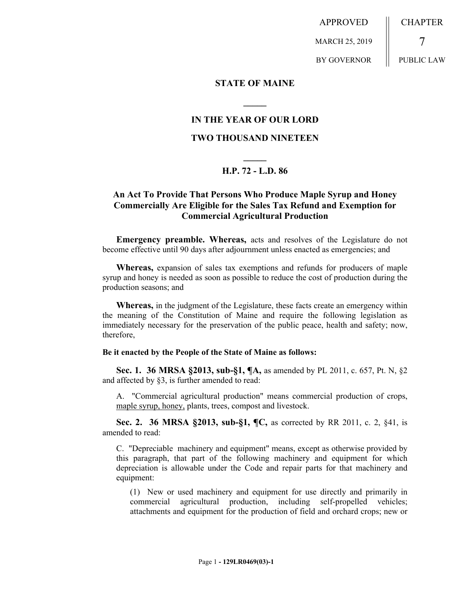APPROVED MARCH 25, 2019 BY GOVERNOR **CHAPTER** 7 PUBLIC LAW

**STATE OF MAINE**

### **IN THE YEAR OF OUR LORD**

**\_\_\_\_\_**

### **TWO THOUSAND NINETEEN**

# **\_\_\_\_\_ H.P. 72 - L.D. 86**

## **An Act To Provide That Persons Who Produce Maple Syrup and Honey Commercially Are Eligible for the Sales Tax Refund and Exemption for Commercial Agricultural Production**

**Emergency preamble. Whereas,** acts and resolves of the Legislature do not become effective until 90 days after adjournment unless enacted as emergencies; and

**Whereas,** expansion of sales tax exemptions and refunds for producers of maple syrup and honey is needed as soon as possible to reduce the cost of production during the production seasons; and

**Whereas,** in the judgment of the Legislature, these facts create an emergency within the meaning of the Constitution of Maine and require the following legislation as immediately necessary for the preservation of the public peace, health and safety; now, therefore,

#### **Be it enacted by the People of the State of Maine as follows:**

**Sec. 1. 36 MRSA §2013, sub-§1, ¶A,** as amended by PL 2011, c. 657, Pt. N, §2 and affected by §3, is further amended to read:

A. "Commercial agricultural production" means commercial production of crops, maple syrup, honey, plants, trees, compost and livestock.

**Sec. 2. 36 MRSA §2013, sub-§1, ¶C,** as corrected by RR 2011, c. 2, §41, is amended to read:

C. "Depreciable machinery and equipment" means, except as otherwise provided by this paragraph, that part of the following machinery and equipment for which depreciation is allowable under the Code and repair parts for that machinery and equipment:

(1) New or used machinery and equipment for use directly and primarily in commercial agricultural production, including self-propelled vehicles; attachments and equipment for the production of field and orchard crops; new or